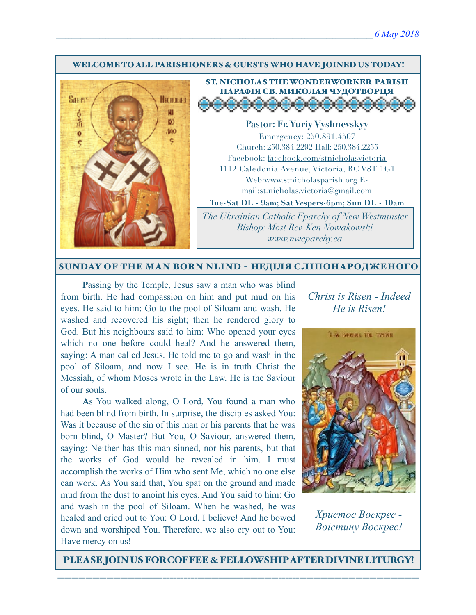#### WELCOME TO ALL PARISHIONERS & GUESTS WHO HAVE JOINED US TODAY!





**Pastor: Fr. Yuriy Vyshnevskyy** Emergency: 250.891.4507 Church: 250.384.2292 Hall: 250.384.2255 Facebook: facebook.com/stnicholasvictoria 1112 Caledonia Avenue, Victoria, BC V8T 1G1 Web[:www.stnicholasparish.org](http://www.stnicholasparish.org) Email:[st.nicholas.victoria@gmail.com](mailto:st.nicholas.victoria@gmail.com) **Tue-Sat DL - 9am; Sat Vespers-6pm; Sun DL - 10am**

*The Ukrainian Catholic Eparchy of New Westminster Bishop: Most Rev. Ken Nowakowski [www.nweparchy.ca](http://www.nweparchy.ca)*

#### SUNDAY OF THE MAN BORN NLIND - НЕДІЛЯ СЛІПОНАРОДЖЕНОГО

**P**assing by the Temple, Jesus saw a man who was blind from birth. He had compassion on him and put mud on his eyes. He said to him: Go to the pool of Siloam and wash. He washed and recovered his sight; then he rendered glory to God. But his neighbours said to him: Who opened your eyes which no one before could heal? And he answered them, saying: A man called Jesus. He told me to go and wash in the pool of Siloam, and now I see. He is in truth Christ the Messiah, of whom Moses wrote in the Law. He is the Saviour of our souls.

**A**s You walked along, O Lord, You found a man who had been blind from birth. In surprise, the disciples asked You: Was it because of the sin of this man or his parents that he was born blind, O Master? But You, O Saviour, answered them, saying: Neither has this man sinned, nor his parents, but that the works of God would be revealed in him. I must accomplish the works of Him who sent Me, which no one else can work. As You said that, You spat on the ground and made mud from the dust to anoint his eyes. And You said to him: Go and wash in the pool of Siloam. When he washed, he was healed and cried out to You: O Lord, I believe! And he bowed down and worshiped You. Therefore, we also cry out to You: Have mercy on us!

*Christ is Risen - Indeed He is Risen!* 



*Христос Воскрес - Воістину Воскрес!*

PLEASE JOIN US FOR COFFEE & FELLOWSHIP AFTER DIVINE LITURGY!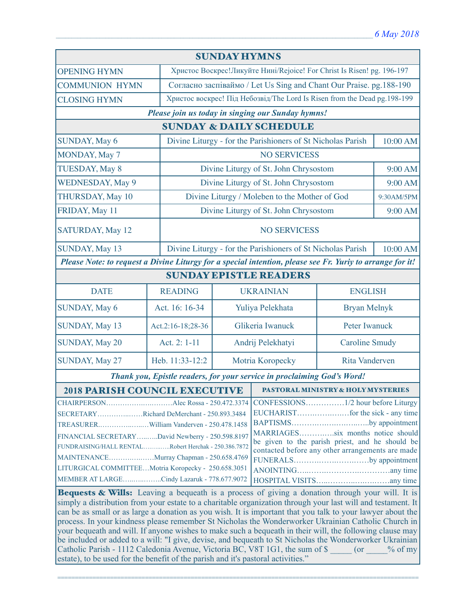| <b>SUNDAY HYMNS</b>                                                                                                                                                                                                                                                                                    |                   |                                                                        |                                                                                                                                                                                                                                    |                       |            |  |
|--------------------------------------------------------------------------------------------------------------------------------------------------------------------------------------------------------------------------------------------------------------------------------------------------------|-------------------|------------------------------------------------------------------------|------------------------------------------------------------------------------------------------------------------------------------------------------------------------------------------------------------------------------------|-----------------------|------------|--|
| <b>OPENING HYMN</b>                                                                                                                                                                                                                                                                                    |                   | Христос Воскрес!Ликуйте Нині/Rejoice! For Christ Is Risen! pg. 196-197 |                                                                                                                                                                                                                                    |                       |            |  |
| <b>COMMUNION HYMN</b>                                                                                                                                                                                                                                                                                  |                   | Согласно заспіваймо / Let Us Sing and Chant Our Praise. pg.188-190     |                                                                                                                                                                                                                                    |                       |            |  |
| <b>CLOSING HYMN</b>                                                                                                                                                                                                                                                                                    |                   |                                                                        | Христос воскрес! Під Небозвід/The Lord Is Risen from the Dead pg. 198-199                                                                                                                                                          |                       |            |  |
| Please join us today in singing our Sunday hymns!                                                                                                                                                                                                                                                      |                   |                                                                        |                                                                                                                                                                                                                                    |                       |            |  |
| <b>SUNDAY &amp; DAILY SCHEDULE</b>                                                                                                                                                                                                                                                                     |                   |                                                                        |                                                                                                                                                                                                                                    |                       |            |  |
| <b>SUNDAY, May 6</b>                                                                                                                                                                                                                                                                                   |                   | Divine Liturgy - for the Parishioners of St Nicholas Parish            |                                                                                                                                                                                                                                    |                       | 10:00 AM   |  |
| MONDAY, May 7                                                                                                                                                                                                                                                                                          |                   | <b>NO SERVICESS</b>                                                    |                                                                                                                                                                                                                                    |                       |            |  |
| <b>TUESDAY, May 8</b>                                                                                                                                                                                                                                                                                  |                   | Divine Liturgy of St. John Chrysostom                                  |                                                                                                                                                                                                                                    |                       | 9:00 AM    |  |
| <b>WEDNESDAY, May 9</b>                                                                                                                                                                                                                                                                                |                   | Divine Liturgy of St. John Chrysostom                                  |                                                                                                                                                                                                                                    |                       | 9:00 AM    |  |
| THURSDAY, May 10                                                                                                                                                                                                                                                                                       |                   | Divine Liturgy / Moleben to the Mother of God                          |                                                                                                                                                                                                                                    |                       | 9:30AM/5PM |  |
| FRIDAY, May 11                                                                                                                                                                                                                                                                                         |                   | Divine Liturgy of St. John Chrysostom                                  |                                                                                                                                                                                                                                    |                       | 9:00 AM    |  |
| SATURDAY, May 12                                                                                                                                                                                                                                                                                       |                   | <b>NO SERVICESS</b>                                                    |                                                                                                                                                                                                                                    |                       |            |  |
| SUNDAY, May 13                                                                                                                                                                                                                                                                                         |                   | Divine Liturgy - for the Parishioners of St Nicholas Parish            |                                                                                                                                                                                                                                    | 10:00 AM              |            |  |
| Please Note: to request a Divine Liturgy for a special intention, please see Fr. Yuriy to arrange for it!                                                                                                                                                                                              |                   |                                                                        |                                                                                                                                                                                                                                    |                       |            |  |
| <b>SUNDAY EPISTLE READERS</b>                                                                                                                                                                                                                                                                          |                   |                                                                        |                                                                                                                                                                                                                                    |                       |            |  |
| <b>DATE</b>                                                                                                                                                                                                                                                                                            | <b>READING</b>    | <b>UKRAINIAN</b>                                                       |                                                                                                                                                                                                                                    | <b>ENGLISH</b>        |            |  |
| SUNDAY, May 6                                                                                                                                                                                                                                                                                          | Act. 16: 16-34    | Yuliya Pelekhata                                                       |                                                                                                                                                                                                                                    | <b>Bryan Melnyk</b>   |            |  |
| SUNDAY, May 13                                                                                                                                                                                                                                                                                         | Act.2:16-18;28-36 | Glikeria Iwanuck                                                       |                                                                                                                                                                                                                                    | Peter Iwanuck         |            |  |
| SUNDAY, May 20                                                                                                                                                                                                                                                                                         | Act. 2: 1-11      |                                                                        | Andrij Pelekhatyi                                                                                                                                                                                                                  | <b>Caroline Smudy</b> |            |  |
| SUNDAY, May 27                                                                                                                                                                                                                                                                                         | Heb. 11:33-12:2   | Motria Koropecky                                                       |                                                                                                                                                                                                                                    | Rita Vanderven        |            |  |
| Thank you, Epistle readers, for your service in proclaiming God's Word!                                                                                                                                                                                                                                |                   |                                                                        |                                                                                                                                                                                                                                    |                       |            |  |
| <b>2018 PARISH COUNCIL EXECUTIVE</b>                                                                                                                                                                                                                                                                   |                   |                                                                        | <b>PASTORAL MINISTRY &amp; HOLY MYSTERIES</b>                                                                                                                                                                                      |                       |            |  |
| SECRETARYRichard DeMerchant - 250.893.3484<br>TREASURERWilliam Vanderven - 250.478.1458<br>FINANCIAL SECRETARYDavid Newberry - 250.598.8197<br>FUNDRAISING/HALL RENTALRobert Herchak - 250.386.7872<br>MAINTENANCEMurray Chapman - 250.658.4769<br>LITURGICAL COMMITTEEMotria Koropecky - 250.658.3051 |                   |                                                                        | CONFESSIONS1/2 hour before Liturgy<br>BAPTISMSby appointment<br>MARRIAGESsix months notice should<br>be given to the parish priest, and he should be<br>contacted before any other arrangements are made<br>FUNERALSby appointment |                       |            |  |
| MEMBER AT LARGECindy Lazaruk - 778.677.9072<br><b>Bequests &amp; Wills:</b> Leaving a bequeath is a process of giving a donation through your will. It is<br>originally a distribution from your estate to a charitable crossization through your last will and testament. It                          |                   |                                                                        |                                                                                                                                                                                                                                    |                       |            |  |

simply a distribution from your estate to a charitable organization through your last will and testament. It can be as small or as large a donation as you wish. It is important that you talk to your lawyer about the process. In your kindness please remember St Nicholas the Wonderworker Ukrainian Catholic Church in your bequeath and will. If anyone wishes to make such a bequeath in their will, the following clause may be included or added to a will: "I give, devise, and bequeath to St Nicholas the Wonderworker Ukrainian Catholic Parish - 1112 Caledonia Avenue, Victoria BC, V8T 1G1, the sum of \$ \_\_\_\_\_ (or \_\_\_\_% of my estate), to be used for the benefit of the parish and it's pastoral activities."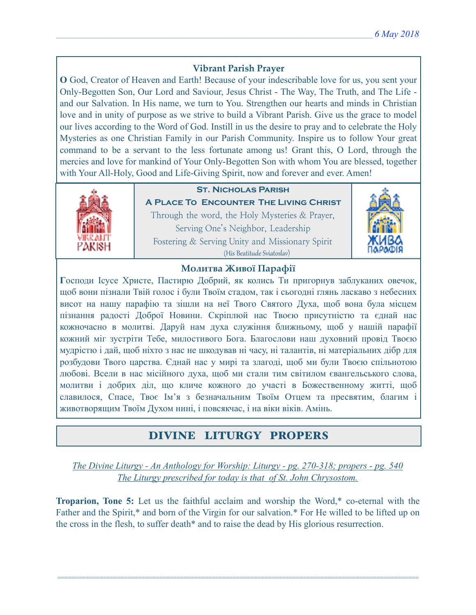## **Vibrant Parish Prayer**

**O** God, Creator of Heaven and Earth! Because of your indescribable love for us, you sent your Only-Begotten Son, Our Lord and Saviour, Jesus Christ - The Way, The Truth, and The Life and our Salvation. In His name, we turn to You. Strengthen our hearts and minds in Christian love and in unity of purpose as we strive to build a Vibrant Parish. Give us the grace to model our lives according to the Word of God. Instill in us the desire to pray and to celebrate the Holy Mysteries as one Christian Family in our Parish Community. Inspire us to follow Your great command to be a servant to the less fortunate among us! Grant this, O Lord, through the mercies and love for mankind of Your Only-Begotten Son with whom You are blessed, together with Your All-Holy, Good and Life-Giving Spirit, now and forever and ever. Amen!



### **St. Nicholas Parish**

**A Place To Encounter The Living Christ** Through the word, the Holy Mysteries & Prayer, Serving One's Neighbor, Leadership Fostering & Serving Unity and Missionary Spirit (His Beatitude Sviatoslav)



### **Молитва Живої Парафії**

**Г**осподи Ісусе Христе, Пастирю Добрий, як колись Ти пригорнув заблуканих овечок, щоб вони пізнали Твій голос і були Твоїм стадом, так і сьогодні глянь ласкаво з небесних висот на нашу парафію та зішли на неї Твого Святого Духа, щоб вона була місцем пізнання радості Доброї Новини. Скріплюй нас Твоєю присутністю та єднай нас кожночасно в молитві. Даруй нам духа служіння ближньому, щоб у нашій парафії кожний міг зустріти Тебе, милостивого Бога. Благослови наш духовний провід Твоєю мудрістю і дай, щоб ніхто з нас не шкодував ні часу, ні талантів, ні матеріальних дібр для розбудови Твого царства. Єднай нас у мирі та злагоді, щоб ми були Твоєю спільнотою любові. Всели в нас місійного духа, щоб ми стали тим світилом євангельського слова, молитви і добрих діл, що кличе кожного до участі в Божественному житті, щоб славилося, Спасе, Твоє Ім'я з безначальним Твоїм Отцем та пресвятим, благим і животворящим Твоїм Духом нині, і повсякчас, і на віки віків. Амінь.

# DIVINE LITURGY PROPERS

*The Divine Liturgy - An Anthology for Worship: Liturgy - pg. 270-318; propers - pg. 540 The Liturgy prescribed for today is that of St. John Chrysostom.* 

**Troparion, Tone 5:** Let us the faithful acclaim and worship the Word,\* co-eternal with the Father and the Spirit,\* and born of the Virgin for our salvation.\* For He willed to be lifted up on the cross in the flesh, to suffer death\* and to raise the dead by His glorious resurrection.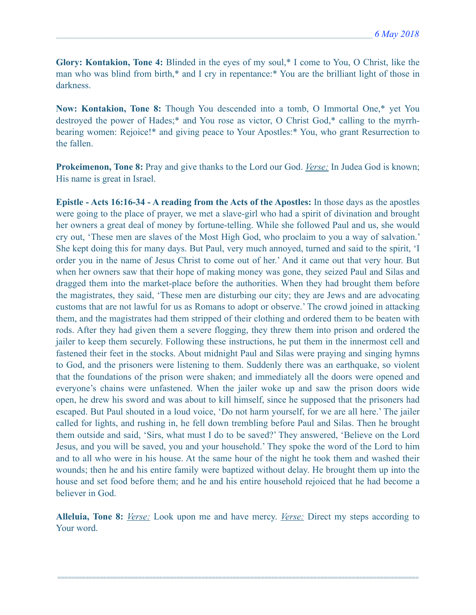**Glory: Kontakion, Tone 4:** Blinded in the eyes of my soul,\* I come to You, O Christ, like the man who was blind from birth,\* and I cry in repentance:\* You are the brilliant light of those in darkness.

**Now: Kontakion, Tone 8:** Though You descended into a tomb, O Immortal One,\* yet You destroyed the power of Hades;\* and You rose as victor, O Christ God,\* calling to the myrrhbearing women: Rejoice!\* and giving peace to Your Apostles:\* You, who grant Resurrection to the fallen.

**Prokeimenon, Tone 8:** Pray and give thanks to the Lord our God. *Verse:* In Judea God is known; His name is great in Israel.

**Epistle - Acts 16:16-34 - A reading from the Acts of the Apostles:** In those days as the apostles were going to the place of prayer, we met a slave-girl who had a spirit of divination and brought her owners a great deal of money by fortune-telling. While she followed Paul and us, she would cry out, 'These men are slaves of the Most High God, who proclaim to you a way of salvation.' She kept doing this for many days. But Paul, very much annoyed, turned and said to the spirit, 'I order you in the name of Jesus Christ to come out of her.' And it came out that very hour. But when her owners saw that their hope of making money was gone, they seized Paul and Silas and dragged them into the market-place before the authorities. When they had brought them before the magistrates, they said, 'These men are disturbing our city; they are Jews and are advocating customs that are not lawful for us as Romans to adopt or observe.' The crowd joined in attacking them, and the magistrates had them stripped of their clothing and ordered them to be beaten with rods. After they had given them a severe flogging, they threw them into prison and ordered the jailer to keep them securely. Following these instructions, he put them in the innermost cell and fastened their feet in the stocks. About midnight Paul and Silas were praying and singing hymns to God, and the prisoners were listening to them. Suddenly there was an earthquake, so violent that the foundations of the prison were shaken; and immediately all the doors were opened and everyone's chains were unfastened. When the jailer woke up and saw the prison doors wide open, he drew his sword and was about to kill himself, since he supposed that the prisoners had escaped. But Paul shouted in a loud voice, 'Do not harm yourself, for we are all here.' The jailer called for lights, and rushing in, he fell down trembling before Paul and Silas. Then he brought them outside and said, 'Sirs, what must I do to be saved?' They answered, 'Believe on the Lord Jesus, and you will be saved, you and your household.' They spoke the word of the Lord to him and to all who were in his house. At the same hour of the night he took them and washed their wounds; then he and his entire family were baptized without delay. He brought them up into the house and set food before them; and he and his entire household rejoiced that he had become a believer in God.

**Alleluia, Tone 8:** *Verse:* Look upon me and have mercy. *Verse:* Direct my steps according to Your word.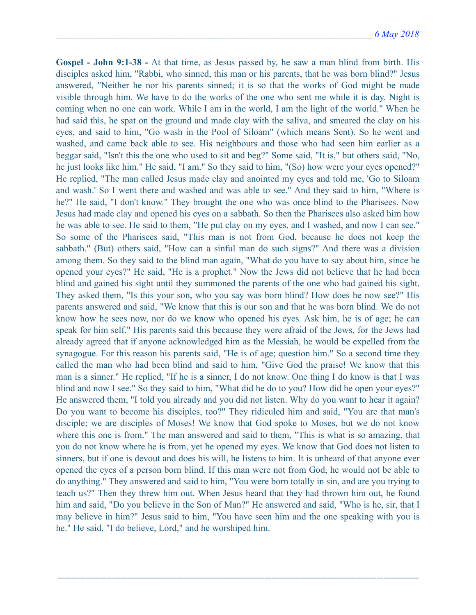**Gospel - John 9:1-38 -** At that time, as Jesus passed by, he saw a man blind from birth. His disciples asked him, "Rabbi, who sinned, this man or his parents, that he was born blind?" Jesus answered, "Neither he nor his parents sinned; it is so that the works of God might be made visible through him. We have to do the works of the one who sent me while it is day. Night is coming when no one can work. While I am in the world, I am the light of the world." When he had said this, he spat on the ground and made clay with the saliva, and smeared the clay on his eyes, and said to him, "Go wash in the Pool of Siloam" (which means Sent). So he went and washed, and came back able to see. His neighbours and those who had seen him earlier as a beggar said, "Isn't this the one who used to sit and beg?" Some said, "It is," but others said, "No, he just looks like him." He said, "I am." So they said to him, "(So) how were your eyes opened?" He replied, "The man called Jesus made clay and anointed my eyes and told me, 'Go to Siloam and wash.' So I went there and washed and was able to see." And they said to him, "Where is he?" He said, "I don't know." They brought the one who was once blind to the Pharisees. Now Jesus had made clay and opened his eyes on a sabbath. So then the Pharisees also asked him how he was able to see. He said to them, "He put clay on my eyes, and I washed, and now I can see." So some of the Pharisees said, "This man is not from God, because he does not keep the sabbath." (But) others said, "How can a sinful man do such signs?" And there was a division among them. So they said to the blind man again, "What do you have to say about him, since he opened your eyes?" He said, "He is a prophet." Now the Jews did not believe that he had been blind and gained his sight until they summoned the parents of the one who had gained his sight. They asked them, "Is this your son, who you say was born blind? How does he now see?" His parents answered and said, "We know that this is our son and that he was born blind. We do not know how he sees now, nor do we know who opened his eyes. Ask him, he is of age; he can speak for him self." His parents said this because they were afraid of the Jews, for the Jews had already agreed that if anyone acknowledged him as the Messiah, he would be expelled from the synagogue. For this reason his parents said, "He is of age; question him." So a second time they called the man who had been blind and said to him, "Give God the praise! We know that this man is a sinner." He replied, "If he is a sinner, I do not know. One thing I do know is that I was blind and now I see." So they said to him, "What did he do to you? How did he open your eyes?" He answered them, "I told you already and you did not listen. Why do you want to hear it again? Do you want to become his disciples, too?" They ridiculed him and said, "You are that man's disciple; we are disciples of Moses! We know that God spoke to Moses, but we do not know where this one is from." The man answered and said to them, "This is what is so amazing, that you do not know where he is from, yet he opened my eyes. We know that God does not listen to sinners, but if one is devout and does his will, he listens to him. It is unheard of that anyone ever opened the eyes of a person born blind. If this man were not from God, he would not be able to do anything." They answered and said to him, "You were born totally in sin, and are you trying to teach us?" Then they threw him out. When Jesus heard that they had thrown him out, he found him and said, "Do you believe in the Son of Man?" He answered and said, "Who is he, sir, that I may believe in him?" Jesus said to him, "You have seen him and the one speaking with you is he." He said, "I do believe, Lord," and he worshiped him.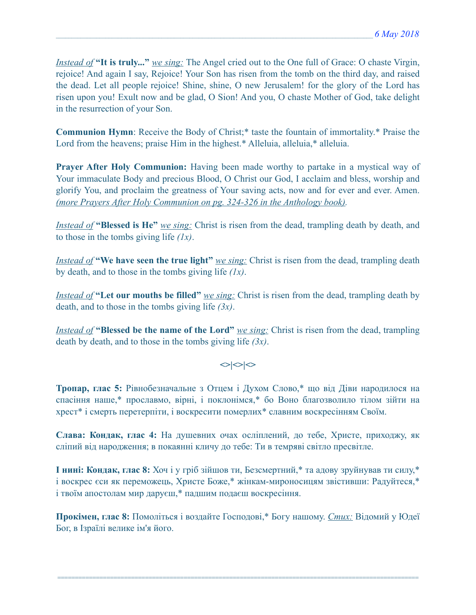*Instead of* **"It is truly..."** *we sing:* The Angel cried out to the One full of Grace: O chaste Virgin, rejoice! And again I say, Rejoice! Your Son has risen from the tomb on the third day, and raised the dead. Let all people rejoice! Shine, shine, O new Jerusalem! for the glory of the Lord has risen upon you! Exult now and be glad, O Sion! And you, O chaste Mother of God, take delight in the resurrection of your Son.

**Communion Hymn**: Receive the Body of Christ;\* taste the fountain of immortality.\* Praise the Lord from the heavens; praise Him in the highest.\* Alleluia, alleluia,\* alleluia.

**Prayer After Holy Communion:** Having been made worthy to partake in a mystical way of Your immaculate Body and precious Blood, O Christ our God, I acclaim and bless, worship and glorify You, and proclaim the greatness of Your saving acts, now and for ever and ever. Amen. *(more Prayers After Holy Communion on pg. 324-326 in the Anthology book).*

*Instead of* **"Blessed is He"** *we sing:* Christ is risen from the dead, trampling death by death, and to those in the tombs giving life *(1x)*.

*Instead of* **"We have seen the true light"** *<u>we sing:</u>* Christ is risen from the dead, trampling death by death, and to those in the tombs giving life *(1x)*.

*Instead of* "Let our mouths be filled" *we sing:* Christ is risen from the dead, trampling death by death, and to those in the tombs giving life *(3x)*.

*Instead of* **"Blessed be the name of the Lord"** *we sing:* Christ is risen from the dead, trampling death by death, and to those in the tombs giving life *(3x)*.

# $\langle$

**Тропар, глас 5:** Рівнобезначальне з Отцем і Духом Слово,\* що від Діви народилося на спасіння наше,\* прославмо, вірні, і поклонімся,\* бо Воно благозволило тілом зійти на хрест\* і смерть перетерпіти, і воскресити померлих\* славним воскресінням Своїм.

**Слава: Кондак, глас 4:** На душевних очах осліплений, до тебе, Христе, приходжу, як сліпий від народження; в покаянні кличу до тебе: Ти в темряві світло пресвітле.

**І нині: Кондак, глас 8:** Хоч і у гріб зійшов ти, Безсмертний,\* та адову зруйнував ти силу,\* і воскрес єси як переможець, Христе Боже,\* жінкам-мироносицям звістивши: Радуйтеся,\* і твоїм апостолам мир даруєш,\* падшим подаєш воскресіння.

**Прокімен, глас 8:** Помоліться і воздайте Господові,\* Богу нашому. *Стих:* Відомий у Юдеї Бог, в Ізраїлі велике ім'я його.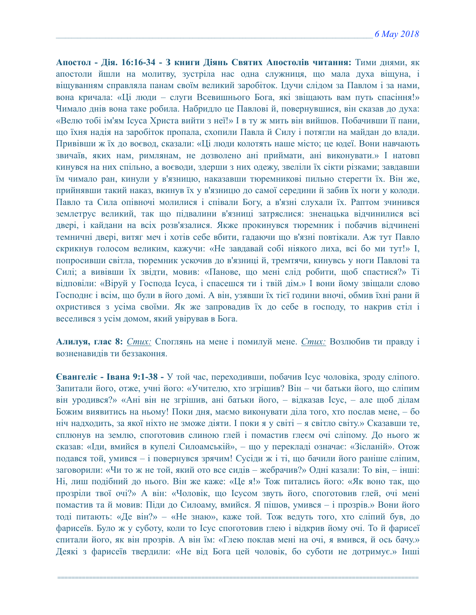**Апостол - Дія. 16:16-34 - З книги Діянь Святих Апостолів читання:** Тими днями, як апостоли йшли на молитву, зустріла нас одна служниця, що мала духа віщуна, і віщуванням справляла панам своїм великий заробіток. Ідучи слідом за Павлом і за нами, вона кричала: «Ці люди – слуги Всевишнього Бога, які звіщають вам путь спасіння!» Чимало днів вона таке робила. Набридло це Павлові й, повернувшися, він сказав до духа: «Велю тобі ім'ям Ісуса Христа вийти з неї!» І в ту ж мить він вийшов. Побачивши її пани, що їхня надія на заробіток пропала, схопили Павла й Силу і потягли на майдан до влади. Привівши ж їх до воєвод, сказали: «Ці люди колотять наше місто; це юдеї. Вони навчають звичаїв, яких нам, римлянам, не дозволено ані приймати, ані виконувати.» І натовп кинувся на них спільно, а воєводи, здерши з них одежу, звеліли їх сікти різками; завдавши їм чимало ран, кинули у в'язницю, наказавши тюремникові пильно стерегти їх. Він же, прийнявши такий наказ, вкинув їх у в'язницю до самої середини й забив їх ноги у колоди. Павло та Сила опівночі молилися і співали Богу, а в'язні слухали їх. Раптом зчинився землетрус великий, так що підвалини в'язниці затряслися: зненацька відчинилися всі двері, і кайдани на всіх розв'язалися. Якже прокинувся тюремник і побачив відчинені темничні двері, витяг меч і хотів себе вбити, гадаючи що в'язні повтікали. Аж тут Павло скрикнув голосом великим, кажучи: «Не завдавай собі ніякого лиха, всі бо ми тут!» І, попросивши світла, тюремник ускочив до в'язниці й, тремтячи, кинувсь у ноги Павлові та Силі; а вивівши їх звідти, мовив: «Панове, що мені слід робити, щоб спастися?» Ті відповіли: «Віруй у Господа Ісуса, і спасешся ти і твій дім.» І вони йому звіщали слово Господнє і всім, що були в його домі. А він, узявши їх тієї години вночі, обмив їхні рани й охристився з усіма своїми. Як же запровадив їх до себе в господу, то накрив стіл і веселився з усім домом, який увірував в Бога.

**Алилуя, глас 8:** *Стих:* Споглянь на мене і помилуй мене. *Стих:* Возлюбив ти правду і возненавидів ти беззаконня.

**Євангеліє - Івана 9:1-38 -** У той час, переходивши, побачив Ісус чоловіка, зроду сліпого. Запитали його, отже, учні його: «Учителю, хто згрішив? Він – чи батьки його, що сліпим він уродився?» «Ані він не згрішив, ані батьки його, – відказав Ісус, – але щоб ділам Божим виявитись на ньому! Поки дня, маємо виконувати діла того, хто послав мене, – бо ніч надходить, за якої ніхто не зможе діяти. І поки я у світі – я світло світу.» Сказавши те, сплюнув на землю, споготовив слиною глей і помастив глеєм очі сліпому. До нього ж сказав: «Іди, вмийся в купелі Силоамській», – що у перекладі означає: «Зісланій». Отож подався той, умився – і повернувся зрячим! Сусіди ж і ті, що бачили його раніше сліпим, заговорили: «Чи то ж не той, який ото все сидів – жебрачив?» Одні казали: То він, – інші: Ні, лиш подібний до нього. Він же каже: «Це я!» Тож питались його: «Як воно так, що прозріли твої очі?» А він: «Чоловік, що Ісусом звуть його, споготовив глей, очі мені помастив та й мовив: Піди до Силоаму, вмийся. Я пішов, умився – і прозрів.» Вони його тоді питають: «Де він?» – «Не знаю», каже той. Тож ведуть того, хто сліпий був, до фарисеїв. Було ж у суботу, коли то Ісус споготовив глею і відкрив йому очі. То й фарисеї спитали його, як він прозрів. А він їм: «Глею поклав мені на очі, я вмився, й ось бачу.» Деякі з фарисеїв твердили: «Не від Бога цей чоловік, бо суботи не дотримує.» Інші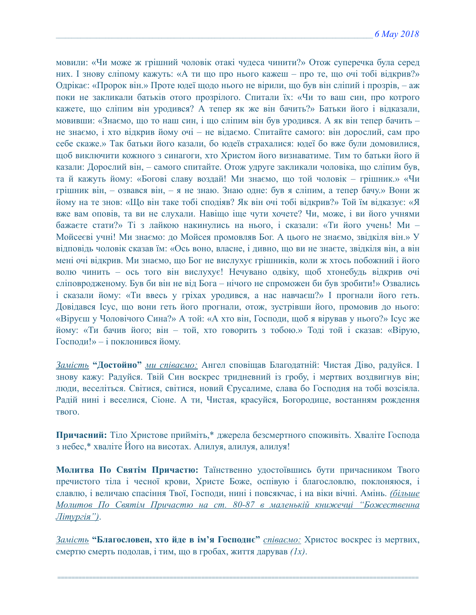мовили: «Чи може ж грішний чоловік отакі чудеса чинити?» Отож суперечка була серед них. І знову сліпому кажуть: «А ти що про нього кажеш – про те, що очі тобі відкрив?» Одрікає: «Пророк він.» Проте юдеї щодо нього не вірили, що був він сліпий і прозрів, – аж поки не закликали батьків отого прозрілого. Спитали їх: «Чи то ваш син, про котрого кажете, що сліпим він уродився? А тепер як же він бачить?» Батьки його і відказали, мовивши: «Знаємо, що то наш син, і що сліпим він був уродився. А як він тепер бачить – не знаємо, і хто відкрив йому очі – не відаємо. Спитайте самого: він дорослий, сам про себе скаже.» Так батьки його казали, бо юдеїв страхалися: юдеї бо вже були домовилися, щоб виключити кожного з синагоги, хто Христом його визнаватиме. Тим то батьки його й казали: Дорослий він, – самого спитайте. Отож удруге закликали чоловіка, що сліпим був, та й кажуть йому: «Богові славу воздай! Ми знаємо, що той чоловік – грішник.» «Чи грішник він, – озвався він, – я не знаю. Знаю одне: був я сліпим, а тепер бачу.» Вони ж йому на те знов: «Що він таке тобі сподіяв? Як він очі тобі відкрив?» Той їм відказує: «Я вже вам оповів, та ви не слухали. Навіщо іще чути хочете? Чи, може, і ви його учнями бажаєте стати?» Ті з лайкою накинулись на нього, і сказали: «Ти його учень! Ми – Мойсеєві учні! Ми знаємо: до Мойсея промовляв Бог. А цього не знаємо, звідкіля він.» У відповідь чоловік сказав їм: «Ось воно, власне, і дивно, що ви не знаєте, звідкіля він, а він мені очі відкрив. Ми знаємо, що Бог не вислухує грішників, коли ж хтось побожний і його волю чинить – ось того він вислухує! Нечувано одвіку, щоб хтонебудь відкрив очі сліповродженому. Був би він не від Бога – нічого не спроможен би був зробити!» Озвались і сказали йому: «Ти ввесь у гріхах уродився, а нас навчаєш?» І прогнали його геть. Довідався Ісус, що вони геть його прогнали, отож, зустрівши його, промовив до нього: «Віруєш у Чоловічого Сина?» А той: «А хто він, Господи, щоб я вірував у нього?» Ісус же йому: «Ти бачив його; він – той, хто говорить з тобою.» Тоді той і сказав: «Вірую, Господи!» – і поклонився йому.

*Замість* **"Достойно"** *ми співаємо:* Ангел сповіщав Благодатній: Чистая Діво, радуйся. І знову кажу: Радуйся. Твій Син воскрес тридневний із гробу, і мертвих воздвигнув він; люди, веселіться. Світися, світися, новий Єрусалиме, слава бо Господня на тобі возсіяла. Радій нині і веселися, Сіоне. А ти, Чистая, красуйся, Богородице, востанням рождення твого.

**Причасний:** Тіло Христове прийміть,\* джерела безсмертного споживіть. Хваліте Господа з небес,\* хваліте Його на висотах. Алилуя, aлилуя, aлилуя!

**Молитва По Святім Причастю:** Таїнственно удостоївшись бути причасником Твого пречистого тіла і чесної крови, Христе Боже, оспівую і благословлю, поклоняюся, і славлю, і величаю спасіння Твої, Господи, нині і повсякчас, і на віки вічні. Амінь. *(більше Молитов По Святім Причастю на ст. 80-87 в маленькій книжечці "Божественна Літургія")*.

*Замість* **"Благословен, хто йде в ім'я Господнє"** *співаємо:* Христос воскрес із мертвих, смертю смерть подолав, і тим, що в гробах, життя дарував *(1x)*.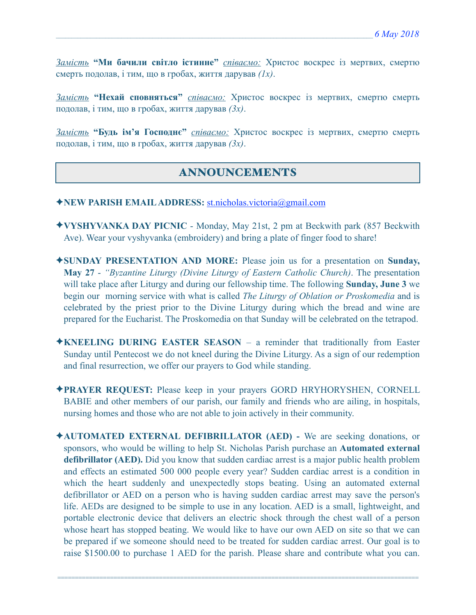*Замість* **"Ми бачили світло істинне"** *співаємо:* Христос воскрес із мертвих, смертю смерть подолав, і тим, що в гробах, життя дарував *(1x)*.

*Замість* **"Нехай сповняться"** *співаємо:* Христос воскрес із мертвих, смертю смерть подолав, і тим, що в гробах, життя дарував *(3x)*.

*Замість* **"Будь ім'я Господнє"** *співаємо:* Христос воскрес із мертвих, смертю смерть подолав, і тим, що в гробах, життя дарував *(3x)*.

# ANNOUNCEMENTS

✦**NEW PARISH EMAIL ADDRESS:** [st.nicholas.victoria@gmail.com](mailto:st.nicholas.victoria@gmail.com)

- ✦**VYSHYVANKA DAY PICNIC** Monday, May 21st, 2 pm at Beckwith park (857 Beckwith Ave). Wear your vyshyvanka (embroidery) and bring a plate of finger food to share!
- ✦**SUNDAY PRESENTATION AND MORE:** Please join us for a presentation on **Sunday, May 27** - *"Byzantine Liturgy (Divine Liturgy of Eastern Catholic Church)*. The presentation will take place after Liturgy and during our fellowship time. The following **Sunday, June 3** we begin our morning service with what is called *The Liturgy of Oblation or Proskomedia* and is celebrated by the priest prior to the Divine Liturgy during which the bread and wine are prepared for the Eucharist. The Proskomedia on that Sunday will be celebrated on the tetrapod.
- ✦**KNEELING DURING EASTER SEASON**  a reminder that traditionally from Easter Sunday until Pentecost we do not kneel during the Divine Liturgy. As a sign of our redemption and final resurrection, we offer our prayers to God while standing.
- ✦**PRAYER REQUEST:** Please keep in your prayers GORD HRYHORYSHEN, CORNELL BABIE and other members of our parish, our family and friends who are ailing, in hospitals, nursing homes and those who are not able to join actively in their community.
- ✦**AUTOMATED EXTERNAL DEFIBRILLATOR (AED)** We are seeking donations, or sponsors, who would be willing to help St. Nicholas Parish purchase an **Automated external defibrillator (AED).** Did you know that sudden cardiac arrest is a major public health problem and effects an estimated 500 000 people every year? Sudden cardiac arrest is a condition in which the heart suddenly and unexpectedly stops beating. Using an automated external defibrillator or AED on a person who is having sudden cardiac arrest may save the person's life. AEDs are designed to be simple to use in any location. AED is a small, lightweight, and portable electronic device that delivers an electric shock through the chest wall of a person whose heart has stopped beating. We would like to have our own AED on site so that we can be prepared if we someone should need to be treated for sudden cardiac arrest. Our goal is to raise \$1500.00 to purchase 1 AED for the parish. Please share and contribute what you can.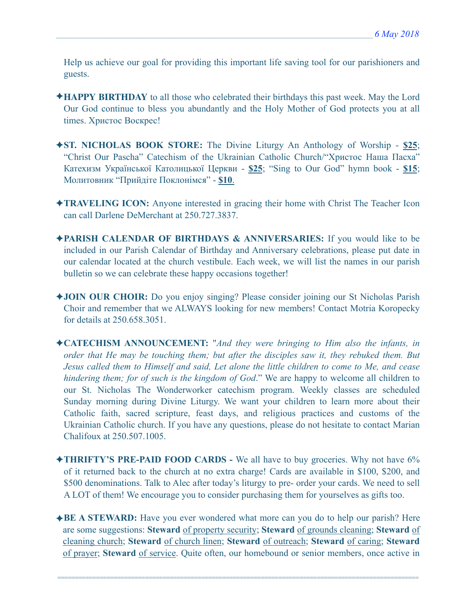Help us achieve our goal for providing this important life saving tool for our parishioners and guests.

- ✦**HAPPY BIRTHDAY** to all those who celebrated their birthdays this past week. May the Lord Our God continue to bless you abundantly and the Holy Mother of God protects you at all times. Христос Воскрес!
- ✦**ST. NICHOLAS BOOK STORE:** The Divine Liturgy An Anthology of Worship **\$25**; "Christ Our Pascha" Catechism of the Ukrainian Catholic Church/"Христос Наша Пасха" Катехизм Української Католицької Церкви - **\$25**; "Sing to Our God" hymn book - **\$15**; Молитовник "Прийдіте Поклонімся" - **\$10**.
- ✦**TRAVELING ICON:** Anyone interested in gracing their home with Christ The Teacher Icon can call Darlene DeMerchant at 250.727.3837.
- ✦**PARISH CALENDAR OF BIRTHDAYS & ANNIVERSARIES:** If you would like to be included in our Parish Calendar of Birthday and Anniversary celebrations, please put date in our calendar located at the church vestibule. Each week, we will list the names in our parish bulletin so we can celebrate these happy occasions together!
- ✦**JOIN OUR CHOIR:** Do you enjoy singing? Please consider joining our St Nicholas Parish Choir and remember that we ALWAYS looking for new members! Contact Motria Koropecky for details at 250.658.3051.
- ✦**CATECHISM ANNOUNCEMENT:** "*And they were bringing to Him also the infants, in order that He may be touching them; but after the disciples saw it, they rebuked them. But Jesus called them to Himself and said, Let alone the little children to come to Me, and cease hindering them; for of such is the kingdom of God*." We are happy to welcome all children to our St. Nicholas The Wonderworker catechism program. Weekly classes are scheduled Sunday morning during Divine Liturgy. We want your children to learn more about their Catholic faith, sacred scripture, feast days, and religious practices and customs of the Ukrainian Catholic church. If you have any questions, please do not hesitate to contact Marian Chalifoux at 250.507.1005.
- ✦**THRIFTY'S PRE-PAID FOOD CARDS** We all have to buy groceries. Why not have 6% of it returned back to the church at no extra charge! Cards are available in \$100, \$200, and \$500 denominations. Talk to Alec after today's liturgy to pre- order your cards. We need to sell A LOT of them! We encourage you to consider purchasing them for yourselves as gifts too.
- ◆**BE A STEWARD:** Have you ever wondered what more can you do to help our parish? Here are some suggestions: **Steward** of property security; **Steward** of grounds cleaning; **Steward** of cleaning church; **Steward** of church linen; **Steward** of outreach; **Steward** of caring; **Steward** of prayer; **Steward** of service. Quite often, our homebound or senior members, once active in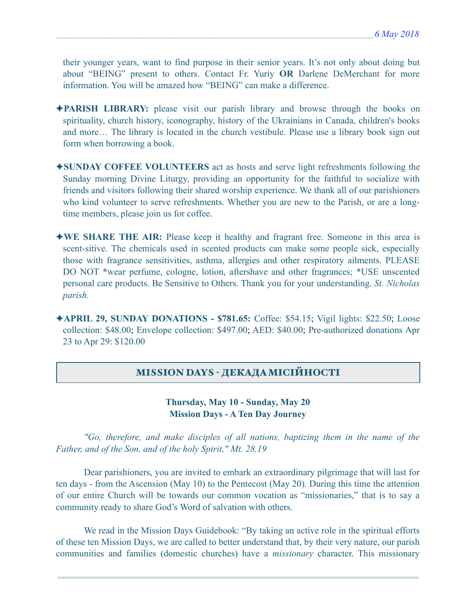their younger years, want to find purpose in their senior years. It's not only about doing but about "BEING" present to others. Contact Fr. Yuriy **OR** Darlene DeMerchant for more information. You will be amazed how "BEING" can make a difference.

- ✦**PARISH LIBRARY:** please visit our parish library and browse through the books on spirituality, church history, iconography, history of the Ukrainians in Canada, children's books and more… The library is located in the church vestibule. Please use a library book sign out form when borrowing a book.
- ✦**SUNDAY COFFEE VOLUNTEERS** act as hosts and serve light refreshments following the Sunday morning Divine Liturgy, providing an opportunity for the faithful to socialize with friends and visitors following their shared worship experience. We thank all of our parishioners who kind volunteer to serve refreshments. Whether you are new to the Parish, or are a longtime members, please join us for coffee.
- ✦**WE SHARE THE AIR:** Please keep it healthy and fragrant free. Someone in this area is scent-sitive. The chemicals used in scented products can make some people sick, especially those with fragrance sensitivities, asthma, allergies and other respiratory ailments. PLEASE DO NOT \*wear perfume, cologne, lotion, aftershave and other fragrances; \*USE unscented personal care products. Be Sensitive to Others. Thank you for your understanding. *St. Nicholas parish.*
- ✦**APRIL 29, SUNDAY DONATIONS \$781.65:** Coffee: \$54.15; Vigil lights: \$22.50; Loose collection: \$48.00; Envelope collection: \$497.00; AED: \$40.00; Pre-authorized donations Apr 23 to Apr 29: \$120.00

# MISSION DAYS - ДЕКАДАМІСІЙНОСТІ

**Thursday, May 10 - Sunday, May 20 Mission Days - A Ten Day Journey** 

 *"Go, therefore, and make disciples of all nations, baptizing them in the name of the Father, and of the Son, and of the holy Spirit," Mt. 28.19* 

 Dear parishioners, you are invited to embark an extraordinary pilgrimage that will last for ten days - from the Ascension (May 10) to the Pentecost (May 20). During this time the attention of our entire Church will be towards our common vocation as "missionaries," that is to say a community ready to share God's Word of salvation with others.

We read in the Mission Days Guidebook: "By taking an active role in the spiritual efforts of these ten Mission Days, we are called to better understand that, by their very nature, our parish communities and families (domestic churches) have a *missionary* character. This missionary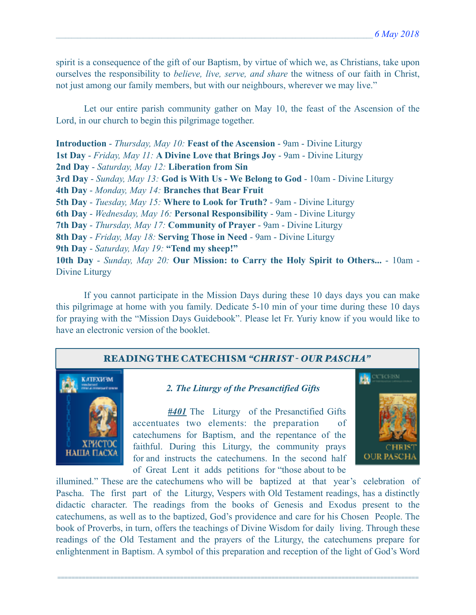spirit is a consequence of the gift of our Baptism, by virtue of which we, as Christians, take upon ourselves the responsibility to *believe, live, serve, and share* the witness of our faith in Christ, not just among our family members, but with our neighbours, wherever we may live."

 Let our entire parish community gather on May 10, the feast of the Ascension of the Lord, in our church to begin this pilgrimage together.

**Introduction** - *Thursday, May 10:* **Feast of the Ascension** - 9am - Divine Liturgy **1st Day** - *Friday, May 11:* **A Divine Love that Brings Joy** - 9am - Divine Liturgy **2nd Day** - *Saturday, May 12:* **Liberation from Sin 3rd Day** - *Sunday, May 13:* **God is With Us - We Belong to God** - 10am - Divine Liturgy **4th Day** - *Monday, May 14:* **Branches that Bear Fruit 5th Day** - *Tuesday, May 15:* **Where to Look for Truth?** - 9am - Divine Liturgy **6th Day** - *Wednesday, May 16:* **Personal Responsibility** - 9am - Divine Liturgy **7th Day** - *Thursday, May 17:* **Community of Prayer** - 9am - Divine Liturgy **8th Day** - *Friday, May 18:* **Serving Those in Need** - 9am - Divine Liturgy **9th Day** - *Saturday, May 19:* **"Tend my sheep!" 10th Day** - *Sunday, May 20:* **Our Mission: to Carry the Holy Spirit to Others...** - 10am - Divine Liturgy

 If you cannot participate in the Mission Days during these 10 days days you can make this pilgrimage at home with you family. Dedicate 5-10 min of your time during these 10 days for praying with the "Mission Days Guidebook". Please let Fr. Yuriy know if you would like to have an electronic version of the booklet.

### READING THE CATECHISM *"CHRIST - OUR PASCHA"*



### *2. The Liturgy of the Presanctified Gifts*

 *#401* The Liturgy of the Presanctified Gifts accentuates two elements: the preparation of catechumens for Baptism, and the repentance of the faithful. During this Liturgy, the community prays for and instructs the catechumens. In the second half of Great Lent it adds petitions for "those about to be



illumined." These are the catechumens who will be baptized at that year's celebration of Pascha. The first part of the Liturgy, Vespers with Old Testament readings, has a distinctly didactic character. The readings from the books of Genesis and Exodus present to the catechumens, as well as to the baptized, God's providence and care for his Chosen People. The book of Proverbs, in turn, offers the teachings of Divine Wisdom for daily living. Through these readings of the Old Testament and the prayers of the Liturgy, the catechumens prepare for enlightenment in Baptism. A symbol of this preparation and reception of the light of God's Word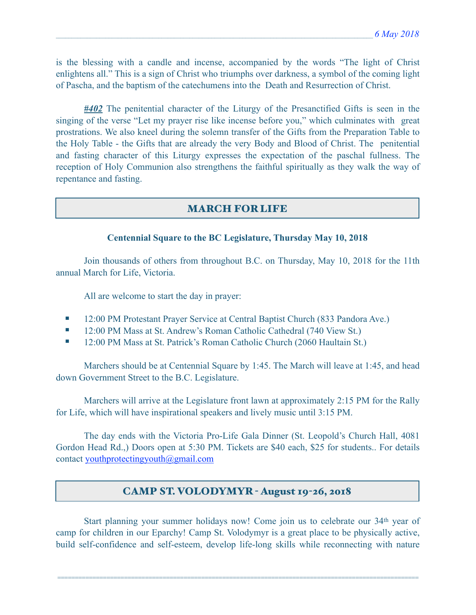is the blessing with a candle and incense, accompanied by the words "The light of Christ enlightens all." This is a sign of Christ who triumphs over darkness, a symbol of the coming light of Pascha, and the baptism of the catechumens into the Death and Resurrection of Christ.

*#402* The penitential character of the Liturgy of the Presanctified Gifts is seen in the singing of the verse "Let my prayer rise like incense before you," which culminates with great prostrations. We also kneel during the solemn transfer of the Gifts from the Preparation Table to the Holy Table - the Gifts that are already the very Body and Blood of Christ. The penitential and fasting character of this Liturgy expresses the expectation of the paschal fullness. The reception of Holy Communion also strengthens the faithful spiritually as they walk the way of repentance and fasting.

# MARCH FOR LIFE

### **Centennial Square to the BC Legislature, Thursday May 10, 2018**

 Join thousands of others from throughout B.C. on Thursday, May 10, 2018 for the 11th annual March for Life, Victoria.

All are welcome to start the day in prayer:

- 12:00 PM Protestant Prayer Service at Central Baptist Church (833 Pandora Ave.)
- 12:00 PM Mass at St. Andrew's Roman Catholic Cathedral (740 View St.)
- 12:00 PM Mass at St. Patrick's Roman Catholic Church (2060 Haultain St.)

 Marchers should be at Centennial Square by 1:45. The March will leave at 1:45, and head down Government Street to the B.C. Legislature.

 Marchers will arrive at the Legislature front lawn at approximately 2:15 PM for the Rally for Life, which will have inspirational speakers and lively music until 3:15 PM.

 The day ends with the Victoria Pro-Life Gala Dinner (St. Leopold's Church Hall, 4081 Gordon Head Rd.,) Doors open at 5:30 PM. Tickets are \$40 each, \$25 for students.. For details contact [youthprotectingyouth@gmail.com](mailto:youthprotectingyouth@gmail.com)

## CAMP ST. VOLODYMYR - August 19-26, 2018

 Start planning your summer holidays now! Come join us to celebrate our 34th year of camp for children in our Eparchy! Camp St. Volodymyr is a great place to be physically active, build self-confidence and self-esteem, develop life-long skills while reconnecting with nature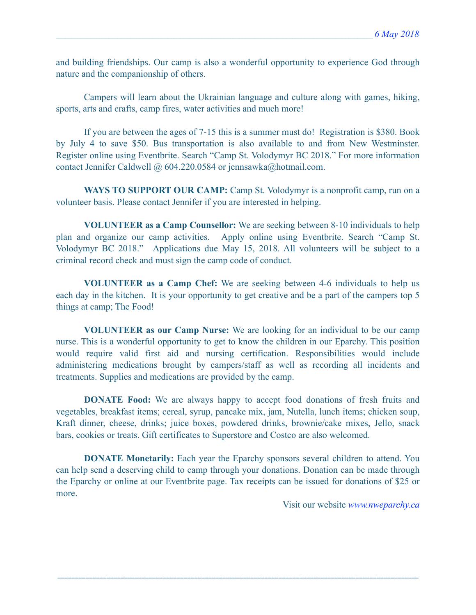and building friendships. Our camp is also a wonderful opportunity to experience God through nature and the companionship of others.

 Campers will learn about the Ukrainian language and culture along with games, hiking, sports, arts and crafts, camp fires, water activities and much more!

 If you are between the ages of 7-15 this is a summer must do! Registration is \$380. Book by July 4 to save \$50. Bus transportation is also available to and from New Westminster. Register online using Eventbrite. Search "Camp St. Volodymyr BC 2018." For more information contact Jennifer Caldwell @ 604.220.0584 or [jennsawka@hotmail.com.](mailto:jennsawka@hotmail.com)

**WAYS TO SUPPORT OUR CAMP:** Camp St. Volodymyr is a nonprofit camp, run on a volunteer basis. Please contact Jennifer if you are interested in helping.

**VOLUNTEER as a Camp Counsellor:** We are seeking between 8-10 individuals to help plan and organize our camp activities. Apply online using Eventbrite. Search "Camp St. Volodymyr BC 2018." Applications due May 15, 2018. All volunteers will be subject to a criminal record check and must sign the camp code of conduct.

**VOLUNTEER as a Camp Chef:** We are seeking between 4-6 individuals to help us each day in the kitchen. It is your opportunity to get creative and be a part of the campers top 5 things at camp; The Food!

**VOLUNTEER as our Camp Nurse:** We are looking for an individual to be our camp nurse. This is a wonderful opportunity to get to know the children in our Eparchy. This position would require valid first aid and nursing certification. Responsibilities would include administering medications brought by campers/staff as well as recording all incidents and treatments. Supplies and medications are provided by the camp.

**DONATE Food:** We are always happy to accept food donations of fresh fruits and vegetables, breakfast items; cereal, syrup, pancake mix, jam, Nutella, lunch items; chicken soup, Kraft dinner, cheese, drinks; juice boxes, powdered drinks, brownie/cake mixes, Jello, snack bars, cookies or treats. Gift certificates to Superstore and Costco are also welcomed.

 **DONATE Monetarily:** Each year the Eparchy sponsors several children to attend. You can help send a deserving child to camp through your donations. Donation can be made through the Eparchy or online at our Eventbrite page. Tax receipts can be issued for donations of \$25 or more.

=======================================================================================================

Visit our website *[www.nweparchy.ca](http://www.nweparchy.ca)*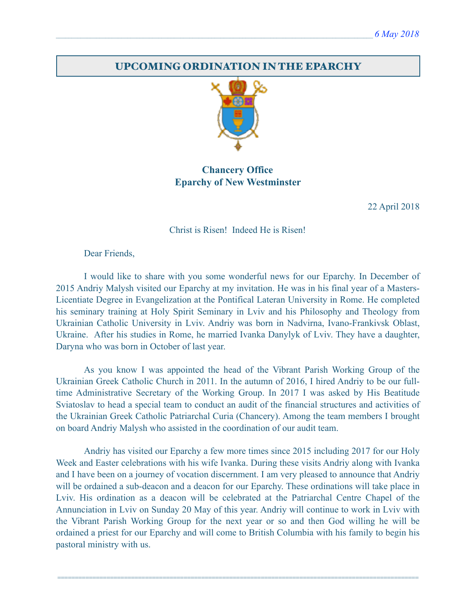# UPCOMING ORDINATION IN THE EPARCHY



**Chancery Office Eparchy of New Westminster** 

22 April 2018

Christ is Risen! Indeed He is Risen!

Dear Friends,

 I would like to share with you some wonderful news for our Eparchy. In December of 2015 Andriy Malysh visited our Eparchy at my invitation. He was in his final year of a Masters-Licentiate Degree in Evangelization at the Pontifical Lateran University in Rome. He completed his seminary training at Holy Spirit Seminary in Lviv and his Philosophy and Theology from Ukrainian Catholic University in Lviv. Andriy was born in Nadvirna, Ivano-Frankivsk Oblast, Ukraine. After his studies in Rome, he married Ivanka Danylyk of Lviv. They have a daughter, Daryna who was born in October of last year.

 As you know I was appointed the head of the Vibrant Parish Working Group of the Ukrainian Greek Catholic Church in 2011. In the autumn of 2016, I hired Andriy to be our fulltime Administrative Secretary of the Working Group. In 2017 I was asked by His Beatitude Sviatoslav to head a special team to conduct an audit of the financial structures and activities of the Ukrainian Greek Catholic Patriarchal Curia (Chancery). Among the team members I brought on board Andriy Malysh who assisted in the coordination of our audit team.

 Andriy has visited our Eparchy a few more times since 2015 including 2017 for our Holy Week and Easter celebrations with his wife Ivanka. During these visits Andriy along with Ivanka and I have been on a journey of vocation discernment. I am very pleased to announce that Andriy will be ordained a sub-deacon and a deacon for our Eparchy. These ordinations will take place in Lviv. His ordination as a deacon will be celebrated at the Patriarchal Centre Chapel of the Annunciation in Lviv on Sunday 20 May of this year. Andriy will continue to work in Lviv with the Vibrant Parish Working Group for the next year or so and then God willing he will be ordained a priest for our Eparchy and will come to British Columbia with his family to begin his pastoral ministry with us.